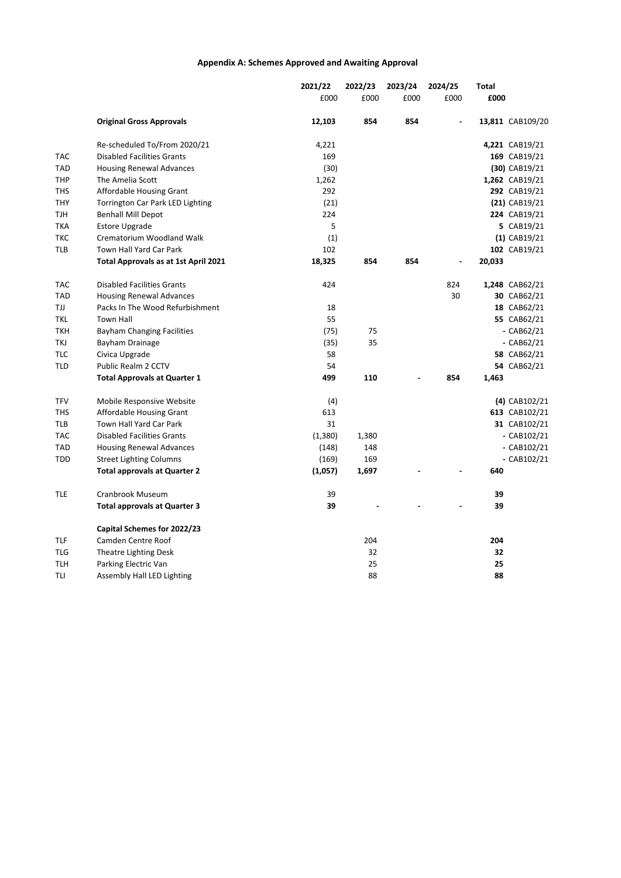## **Appendix A: Schemes Approved and Awaiting Approval**

|            |                                      | 2021/22 | 2022/23 | 2023/24 | 2024/25 | Total  |                  |
|------------|--------------------------------------|---------|---------|---------|---------|--------|------------------|
|            |                                      | £000    | £000    | £000    | £000    | £000   |                  |
|            | <b>Original Gross Approvals</b>      | 12,103  | 854     | 854     |         |        | 13,811 CAB109/20 |
|            | Re-scheduled To/From 2020/21         | 4,221   |         |         |         |        | 4,221 CAB19/21   |
| TAC        | <b>Disabled Facilities Grants</b>    | 169     |         |         |         |        | 169 CAB19/21     |
| TAD        | <b>Housing Renewal Advances</b>      | (30)    |         |         |         |        | (30) CAB19/21    |
| THP        | The Amelia Scott                     | 1,262   |         |         |         |        | 1,262 CAB19/21   |
| THS        | Affordable Housing Grant             | 292     |         |         |         |        | 292 CAB19/21     |
| THY        | Torrington Car Park LED Lighting     | (21)    |         |         |         |        | $(21)$ CAB19/21  |
| TJH        | <b>Benhall Mill Depot</b>            | 224     |         |         |         |        | 224 CAB19/21     |
| ТКА        | <b>Estore Upgrade</b>                | 5       |         |         |         |        | 5 CAB19/21       |
| ткс        | Crematorium Woodland Walk            | (1)     |         |         |         |        | $(1)$ CAB19/21   |
| TLB        | Town Hall Yard Car Park              | 102     |         |         |         |        | 102 CAB19/21     |
|            | Total Approvals as at 1st April 2021 | 18,325  | 854     | 854     |         | 20,033 |                  |
| TAC        | <b>Disabled Facilities Grants</b>    | 424     |         |         | 824     |        | 1,248 CAB62/21   |
| TAD        | <b>Housing Renewal Advances</b>      |         |         |         | 30      |        | 30 CAB62/21      |
| ТIJ        | Packs In The Wood Refurbishment      | 18      |         |         |         |        | 18 CAB62/21      |
| tkl        | Town Hall                            | 55      |         |         |         |        | 55 CAB62/21      |
| ткн        | <b>Bayham Changing Facilities</b>    | (75)    | 75      |         |         |        | - $CAB62/21$     |
| TKJ        | Bayham Drainage                      | (35)    | 35      |         |         |        | - $CAB62/21$     |
| <b>TLC</b> | Civica Upgrade                       | 58      |         |         |         |        | 58 CAB62/21      |
| TLD        | Public Realm 2 CCTV                  | 54      |         |         |         |        | 54 CAB62/21      |
|            | <b>Total Approvals at Quarter 1</b>  | 499     | 110     |         | 854     | 1,463  |                  |
| TFV        | Mobile Responsive Website            | (4)     |         |         |         |        | (4) CAB102/21    |
| THS        | Affordable Housing Grant             | 613     |         |         |         |        | 613 CAB102/21    |
| TLB        | Town Hall Yard Car Park              | 31      |         |         |         |        | 31 CAB102/21     |
| TAC        | <b>Disabled Facilities Grants</b>    | (1,380) | 1,380   |         |         |        | $-CAB102/21$     |
| TAD        | <b>Housing Renewal Advances</b>      | (148)   | 148     |         |         |        | - CAB102/21      |
| TDD        | <b>Street Lighting Columns</b>       | (169)   | 169     |         |         |        | $-CAB102/21$     |
|            | <b>Total approvals at Quarter 2</b>  | (1,057) | 1,697   |         |         | 640    |                  |
| tle        | Cranbrook Museum                     | 39      |         |         |         | 39     |                  |
|            | <b>Total approvals at Quarter 3</b>  | 39      |         |         |         | 39     |                  |
|            | Capital Schemes for 2022/23          |         |         |         |         |        |                  |
| TLF        | Camden Centre Roof                   |         | 204     |         |         | 204    |                  |
| TLG        | Theatre Lighting Desk                |         | 32      |         |         | 32     |                  |
| TLH        | Parking Electric Van                 |         | 25      |         |         | 25     |                  |
| TLI        | Assembly Hall LED Lighting           |         | 88      |         |         | 88     |                  |